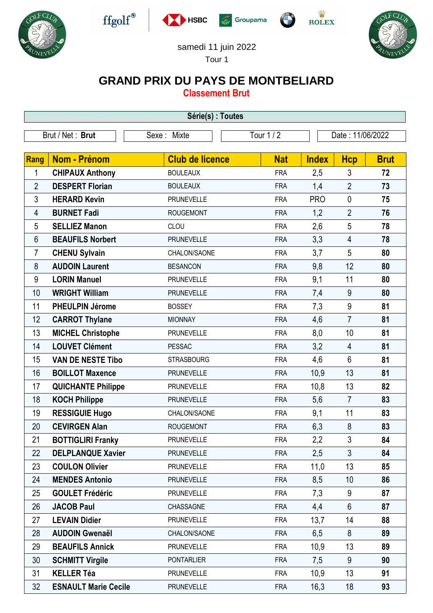











## samedi 11 juin 2022

Tour 1

## **GRAND PRIX DU PAYS DE MONTBELIARD**

**Classement Brut**

| Série(s) : Toutes |                             |                        |            |              |                  |             |  |  |  |  |
|-------------------|-----------------------------|------------------------|------------|--------------|------------------|-------------|--|--|--|--|
| Brut / Net: Brut  |                             | Sexe: Mixte            | Tour 1 / 2 |              | Date: 11/06/2022 |             |  |  |  |  |
|                   |                             |                        |            |              |                  |             |  |  |  |  |
| Rang              | <b>Nom - Prénom</b>         | <b>Club de licence</b> | <b>Nat</b> | <b>Index</b> | <b>Hcp</b>       | <b>Brut</b> |  |  |  |  |
| 1                 | <b>CHIPAUX Anthony</b>      | <b>BOULEAUX</b>        | <b>FRA</b> | 2,5          | 3                | 72          |  |  |  |  |
| $\overline{2}$    | <b>DESPERT Florian</b>      | <b>BOULEAUX</b>        | <b>FRA</b> | 1,4          | $\overline{2}$   | 73          |  |  |  |  |
| 3                 | <b>HERARD Kevin</b>         | <b>PRUNEVELLE</b>      | <b>FRA</b> | <b>PRO</b>   | $\mathbf{0}$     | 75          |  |  |  |  |
| 4                 | <b>BURNET Fadi</b>          | <b>ROUGEMONT</b>       | <b>FRA</b> | 1,2          | $\overline{2}$   | 76          |  |  |  |  |
| 5                 | <b>SELLIEZ Manon</b>        | CLOU                   | <b>FRA</b> | 2,6          | 5                | 78          |  |  |  |  |
| 6                 | <b>BEAUFILS Norbert</b>     | <b>PRUNEVELLE</b>      | <b>FRA</b> | 3,3          | $\overline{4}$   | 78          |  |  |  |  |
| 7                 | <b>CHENU Sylvain</b>        | CHALON/SAONE           | <b>FRA</b> | 3,7          | 5                | 80          |  |  |  |  |
| 8                 | <b>AUDOIN Laurent</b>       | <b>BESANCON</b>        | <b>FRA</b> | 9,8          | 12               | 80          |  |  |  |  |
| 9                 | <b>LORIN Manuel</b>         | <b>PRUNEVELLE</b>      | <b>FRA</b> | 9,1          | 11               | 80          |  |  |  |  |
| 10                | <b>WRIGHT William</b>       | <b>PRUNEVELLE</b>      | <b>FRA</b> | 7,4          | 9                | 80          |  |  |  |  |
| 11                | <b>PHEULPIN Jérome</b>      | <b>BOSSEY</b>          | <b>FRA</b> | 7,3          | 9                | 81          |  |  |  |  |
| 12                | <b>CARROT Thylane</b>       | <b>MIONNAY</b>         | <b>FRA</b> | 4,6          | $\overline{7}$   | 81          |  |  |  |  |
| 13                | <b>MICHEL Christophe</b>    | <b>PRUNEVELLE</b>      | <b>FRA</b> | 8,0          | 10               | 81          |  |  |  |  |
| 14                | <b>LOUVET Clément</b>       | <b>PESSAC</b>          | <b>FRA</b> | 3,2          | 4                | 81          |  |  |  |  |
| 15                | <b>VAN DE NESTE Tibo</b>    | <b>STRASBOURG</b>      | <b>FRA</b> | 4,6          | $6\phantom{1}$   | 81          |  |  |  |  |
| 16                | <b>BOILLOT Maxence</b>      | <b>PRUNEVELLE</b>      | <b>FRA</b> | 10,9         | 13               | 81          |  |  |  |  |
| 17                | <b>QUICHANTE Philippe</b>   | <b>PRUNEVELLE</b>      | <b>FRA</b> | 10,8         | 13               | 82          |  |  |  |  |
| 18                | <b>KOCH Philippe</b>        | <b>PRUNEVELLE</b>      | <b>FRA</b> | 5,6          | $\overline{7}$   | 83          |  |  |  |  |
| 19                | <b>RESSIGUIE Hugo</b>       | CHALON/SAONE           | <b>FRA</b> | 9,1          | 11               | 83          |  |  |  |  |
| 20                | <b>CEVIRGEN Alan</b>        | <b>ROUGEMONT</b>       | <b>FRA</b> | 6,3          | 8                | 83          |  |  |  |  |
| 21                | <b>BOTTIGLIRI Franky</b>    | <b>PRUNEVELLE</b>      | <b>FRA</b> | 2,2          | $\mathfrak{Z}$   | 84          |  |  |  |  |
| 22                | <b>DELPLANQUE Xavier</b>    | <b>PRUNEVELLE</b>      | <b>FRA</b> | 2,5          | $\mathfrak{Z}$   | 84          |  |  |  |  |
| 23                | <b>COULON Olivier</b>       | <b>PRUNEVELLE</b>      | <b>FRA</b> | 11,0         | 13               | 85          |  |  |  |  |
| 24                | <b>MENDES Antonio</b>       | <b>PRUNEVELLE</b>      | <b>FRA</b> | 8,5          | 10               | 86          |  |  |  |  |
| 25                | <b>GOULET Frédéric</b>      | <b>PRUNEVELLE</b>      | <b>FRA</b> | 7,3          | 9                | 87          |  |  |  |  |
| 26                | <b>JACOB Paul</b>           | CHASSAGNE              | <b>FRA</b> | 4,4          | $6\phantom{a}$   | 87          |  |  |  |  |
| 27                | <b>LEVAIN Didier</b>        | <b>PRUNEVELLE</b>      | <b>FRA</b> | 13,7         | 14               | 88          |  |  |  |  |
| 28                | <b>AUDOIN Gwenaël</b>       | CHALON/SAONE           | <b>FRA</b> | 6,5          | 8                | 89          |  |  |  |  |
| 29                | <b>BEAUFILS Annick</b>      | <b>PRUNEVELLE</b>      | <b>FRA</b> | 10,9         | 13               | 89          |  |  |  |  |
| 30                | <b>SCHMITT Virgile</b>      | <b>PONTARLIER</b>      | <b>FRA</b> | 7,5          | 9                | 90          |  |  |  |  |
| 31                | <b>KELLER Téa</b>           | <b>PRUNEVELLE</b>      | <b>FRA</b> | 10,9         | 13               | 91          |  |  |  |  |
| 32                | <b>ESNAULT Marie Cecile</b> | <b>PRUNEVELLE</b>      | <b>FRA</b> | 16,3         | 18               | 93          |  |  |  |  |